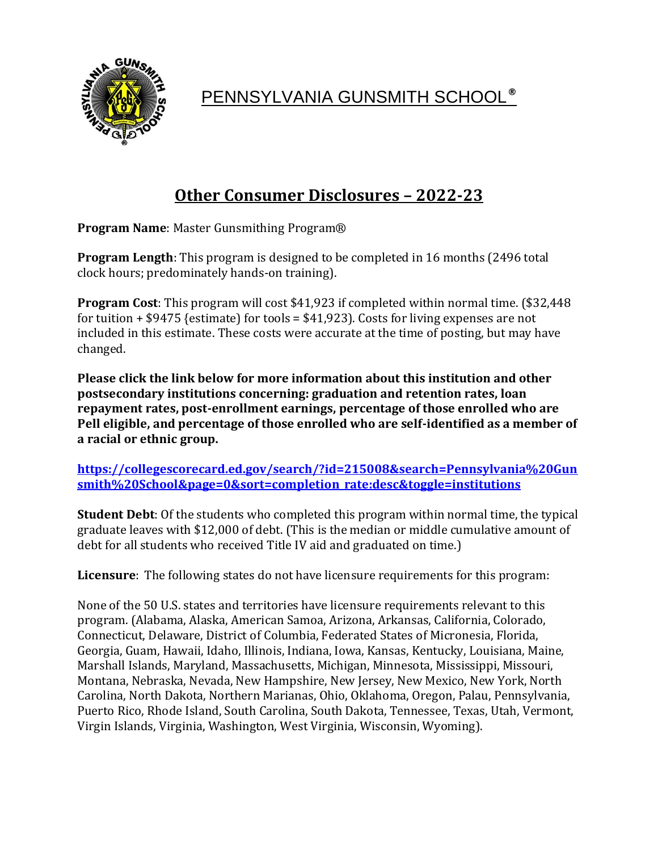

PENNSYLVANIA GUNSMITH SCHOOL**®**

## **Other Consumer Disclosures – 2022-23**

**Program Name**: Master Gunsmithing Program®

**Program Length**: This program is designed to be completed in 16 months (2496 total clock hours; predominately hands-on training).

**Program Cost**: This program will cost \$41,923 if completed within normal time. (\$32,448 for tuition  $+$  \$9475 {estimate} for tools = \$41,923}. Costs for living expenses are not included in this estimate. These costs were accurate at the time of posting, but may have changed.

**Please click the link below for more information about this institution and other postsecondary institutions concerning: graduation and retention rates, loan repayment rates, post-enrollment earnings, percentage of those enrolled who are Pell eligible, and percentage of those enrolled who are self-identified as a member of a racial or ethnic group.**

**[https://collegescorecard.ed.gov/search/?id=215008&search=Pennsylvania%20Gun](https://collegescorecard.ed.gov/search/?id=215008&search=Pennsylvania%20Gunsmith%20School&page=0&sort=completion_rate:desc&toggle=institutions) [smith%20School&page=0&sort=completion\\_rate:desc&toggle=institutions](https://collegescorecard.ed.gov/search/?id=215008&search=Pennsylvania%20Gunsmith%20School&page=0&sort=completion_rate:desc&toggle=institutions)**

**Student Debt**: Of the students who completed this program within normal time, the typical graduate leaves with \$12,000 of debt. (This is the median or middle cumulative amount of debt for all students who received Title IV aid and graduated on time.)

**Licensure**: The following states do not have licensure requirements for this program:

None of the 50 U.S. states and territories have licensure requirements relevant to this program. (Alabama, Alaska, American Samoa, Arizona, Arkansas, California, Colorado, Connecticut, Delaware, District of Columbia, Federated States of Micronesia, Florida, Georgia, Guam, Hawaii, Idaho, Illinois, Indiana, Iowa, Kansas, Kentucky, Louisiana, Maine, Marshall Islands, Maryland, Massachusetts, Michigan, Minnesota, Mississippi, Missouri, Montana, Nebraska, Nevada, New Hampshire, New Jersey, New Mexico, New York, North Carolina, North Dakota, Northern Marianas, Ohio, Oklahoma, Oregon, Palau, Pennsylvania, Puerto Rico, Rhode Island, South Carolina, South Dakota, Tennessee, Texas, Utah, Vermont, Virgin Islands, Virginia, Washington, West Virginia, Wisconsin, Wyoming).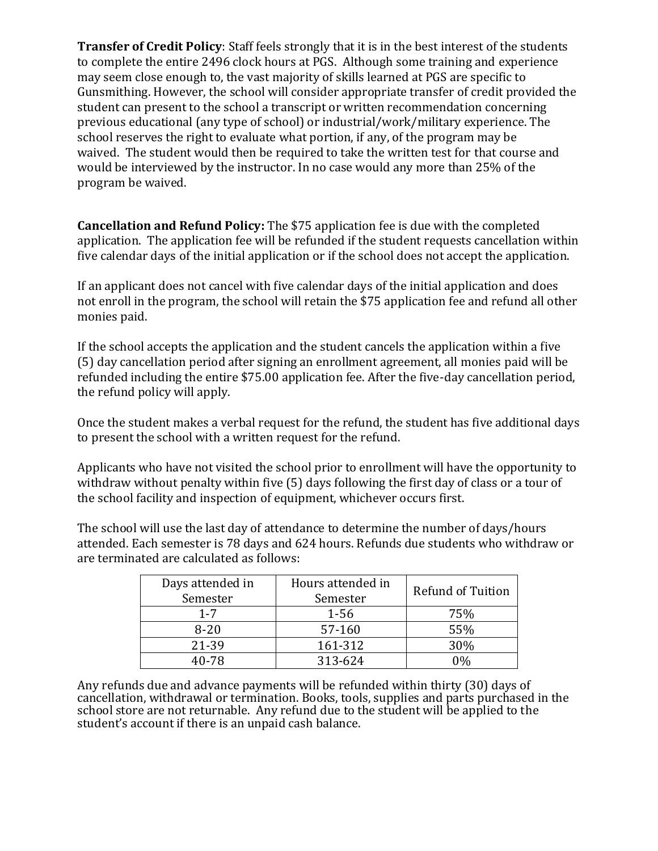**Transfer of Credit Policy**: Staff feels strongly that it is in the best interest of the students to complete the entire 2496 clock hours at PGS. Although some training and experience may seem close enough to, the vast majority of skills learned at PGS are specific to Gunsmithing. However, the school will consider appropriate transfer of credit provided the student can present to the school a transcript or written recommendation concerning previous educational (any type of school) or industrial/work/military experience. The school reserves the right to evaluate what portion, if any, of the program may be waived. The student would then be required to take the written test for that course and would be interviewed by the instructor. In no case would any more than 25% of the program be waived.

**Cancellation and Refund Policy:** The \$75 application fee is due with the completed application. The application fee will be refunded if the student requests cancellation within five calendar days of the initial application or if the school does not accept the application.

If an applicant does not cancel with five calendar days of the initial application and does not enroll in the program, the school will retain the \$75 application fee and refund all other monies paid.

If the school accepts the application and the student cancels the application within a five (5) day cancellation period after signing an enrollment agreement, all monies paid will be refunded including the entire \$75.00 application fee. After the five-day cancellation period, the refund policy will apply.

Once the student makes a verbal request for the refund, the student has five additional days to present the school with a written request for the refund.

Applicants who have not visited the school prior to enrollment will have the opportunity to withdraw without penalty within five (5) days following the first day of class or a tour of the school facility and inspection of equipment, whichever occurs first.

The school will use the last day of attendance to determine the number of days/hours attended. Each semester is 78 days and 624 hours. Refunds due students who withdraw or are terminated are calculated as follows:

| Days attended in<br>Semester | Hours attended in<br>Semester | <b>Refund of Tuition</b> |
|------------------------------|-------------------------------|--------------------------|
| $1 - 7$                      | $1 - 56$                      | 75%                      |
| $8 - 20$                     | 57-160                        | 55%                      |
| 21-39                        | 161-312                       | 30%                      |
| 40-78                        | 313-624                       | በ‰                       |

Any refunds due and advance payments will be refunded within thirty (30) days of cancellation, withdrawal or termination. Books, tools, supplies and parts purchased in the school store are not returnable. Any refund due to the student will be applied to the student's account if there is an unpaid cash balance.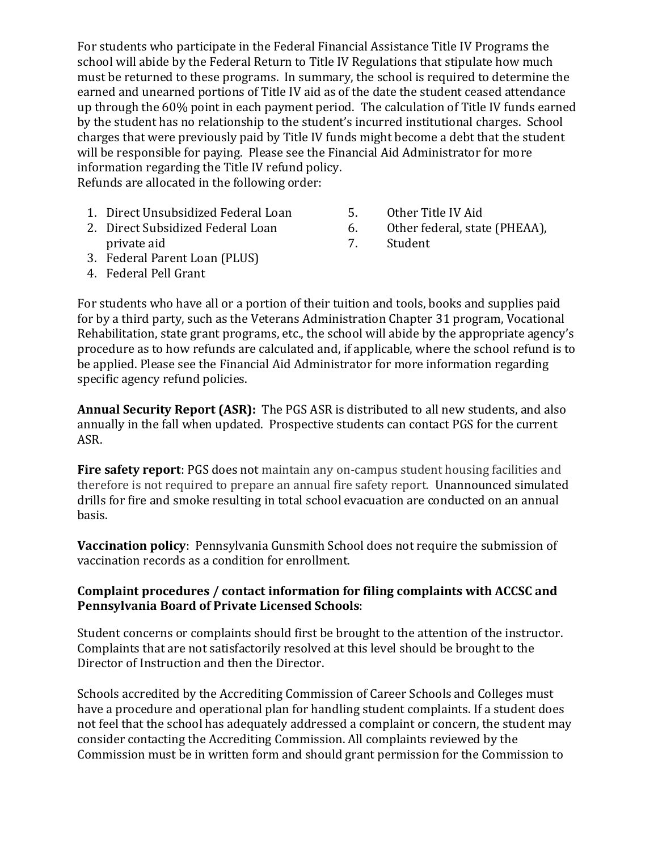For students who participate in the Federal Financial Assistance Title IV Programs the school will abide by the Federal Return to Title IV Regulations that stipulate how much must be returned to these programs. In summary, the school is required to determine the earned and unearned portions of Title IV aid as of the date the student ceased attendance up through the 60% point in each payment period. The calculation of Title IV funds earned by the student has no relationship to the student's incurred institutional charges. School charges that were previously paid by Title IV funds might become a debt that the student will be responsible for paying. Please see the Financial Aid Administrator for more information regarding the Title IV refund policy.

Refunds are allocated in the following order:

- 1. Direct Unsubsidized Federal Loan 5. Other Title IV Aid
- 2. Direct Subsidized Federal Loan 6. Other federal, state (PHEAA), private aid 7. Student
- 
- -
- 3. Federal Parent Loan (PLUS)
- 4. Federal Pell Grant

For students who have all or a portion of their tuition and tools, books and supplies paid for by a third party, such as the Veterans Administration Chapter 31 program, Vocational Rehabilitation, state grant programs, etc., the school will abide by the appropriate agency's procedure as to how refunds are calculated and, if applicable, where the school refund is to be applied. Please see the Financial Aid Administrator for more information regarding specific agency refund policies.

**Annual Security Report (ASR):** The PGS ASR is distributed to all new students, and also annually in the fall when updated. Prospective students can contact PGS for the current ASR.

**Fire safety report**: PGS does not maintain any on-campus student housing facilities and therefore is not required to prepare an annual fire safety report. Unannounced simulated drills for fire and smoke resulting in total school evacuation are conducted on an annual basis.

**Vaccination policy**: Pennsylvania Gunsmith School does not require the submission of vaccination records as a condition for enrollment.

## **Complaint procedures / contact information for filing complaints with ACCSC and Pennsylvania Board of Private Licensed Schools**:

Student concerns or complaints should first be brought to the attention of the instructor. Complaints that are not satisfactorily resolved at this level should be brought to the Director of Instruction and then the Director.

Schools accredited by the Accrediting Commission of Career Schools and Colleges must have a procedure and operational plan for handling student complaints. If a student does not feel that the school has adequately addressed a complaint or concern, the student may consider contacting the Accrediting Commission. All complaints reviewed by the Commission must be in written form and should grant permission for the Commission to